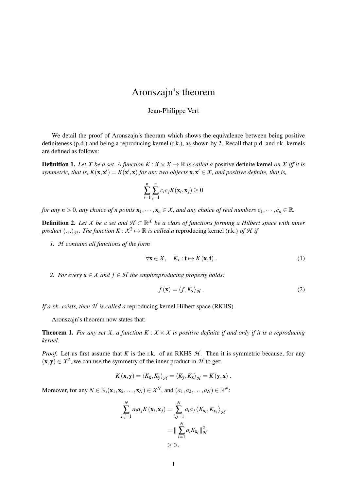## Aronszajn's theorem

## Jean-Philippe Vert

We detail the proof of Aronszajn's theoram which shows the equivalence between being positive definiteness (p.d.) and being a reproducing kernel (r.k.), as shown by ?. Recall that p.d. and r.k. kernels are defined as follows:

**Definition 1.** Let *X* be a set. A function  $K : X \times X \to \mathbb{R}$  is called a positive definite kernel on *X* iff it is *symmetric, that is,*  $K(x, x') = K(x', x)$  *for any two objects*  $x, x' \in X$ *, and positive definite, that is,* 

$$
\sum_{i=1}^n \sum_{j=1}^n c_i c_j K(\mathbf{x}_i, \mathbf{x}_j) \geq 0
$$

*for any n* > 0*, any choice of n points*  $\mathbf{x}_1, \dots, \mathbf{x}_n \in \mathcal{X}$ *, and any choice of real numbers*  $c_1, \dots, c_n \in \mathbb{R}$ *.* 

Definition 2. *Let X be a set and H* ⊂ R *X be a class of functions forming a Hilbert space with inner product*  $\langle .,.\rangle_{H}$ . *The function*  $K : X^2 \mapsto \mathbb{R}$  *is called a* reproducing kernel (r.k.) *of H if* 

*1. H contains all functions of the form*

<span id="page-0-1"></span>
$$
\forall \mathbf{x} \in \mathcal{X}, \quad K_{\mathbf{x}} : \mathbf{t} \mapsto K(\mathbf{x}, \mathbf{t}) \,. \tag{1}
$$

*2. For every*  $\mathbf{x} \in \mathcal{X}$  *and*  $f \in \mathcal{H}$  *the emphreproducing property holds:* 

<span id="page-0-2"></span>
$$
f(\mathbf{x}) = \langle f, K_{\mathbf{x}} \rangle_{\mathcal{H}}.
$$
 (2)

*If a r.k. exists, then H is called a* reproducing kernel Hilbert space (RKHS)*.*

Aronszajn's theorem now states that:

<span id="page-0-0"></span>**Theorem 1.** For any set *X*, a function  $K : X \times X$  is positive definite if and only if it is a reproducing *kernel.*

*Proof.* Let us first assume that *K* is the r.k. of an RKHS  $H$ . Then it is symmetric because, for any  $(x, y) \in \mathcal{X}^2$ , we can use the symmetry of the inner product in  $\mathcal{H}$  to get:

$$
K(\mathbf{x}, \mathbf{y}) = \langle K_{\mathbf{x}}, K_{\mathbf{y}} \rangle_{\mathcal{H}} = \langle K_{\mathbf{y}}, K_{\mathbf{x}} \rangle_{\mathcal{H}} = K(\mathbf{y}, \mathbf{x}) \ .
$$

Moreover, for any  $N \in \mathbb{N}$ ,  $(\mathbf{x}_1, \mathbf{x}_2, \dots, \mathbf{x}_N) \in \mathcal{X}^N$ , and  $(a_1, a_2, \dots, a_N) \in \mathbb{R}^N$ :

$$
\sum_{i,j=1}^{N} a_i a_j K(\mathbf{x}_i, \mathbf{x}_j) = \sum_{i,j=1}^{N} a_i a_j \langle K_{\mathbf{x}_i}, K_{\mathbf{x}_j} \rangle_{\mathcal{H}}
$$
  
= 
$$
\|\sum_{i=1}^{N} a_i K_{\mathbf{x}_i} \|_{\mathcal{H}}^2
$$
  

$$
\geq 0.
$$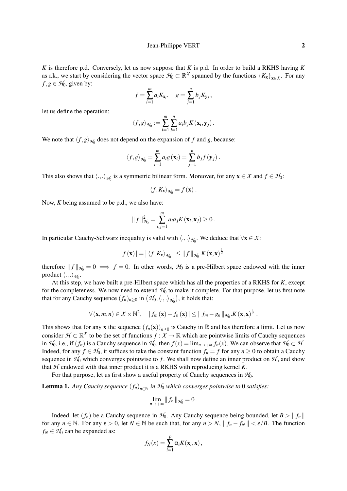*K* is therefore p.d. Conversely, let us now suppose that *K* is p.d. In order to build a RKHS having *K* as r.k., we start by considering the vector space  $H_0 \subset \mathbb{R}^X$  spanned by the functions  $\{K_x\}_{x \in X}$ . For any  $f, g \in H_0$ , given by:

$$
f = \sum_{i=1}^{m} a_i K_{\mathbf{x}_i}, \quad g = \sum_{j=1}^{n} b_j K_{\mathbf{y}_j},
$$

let us define the operation:

$$
\langle f,g\rangle_{\mathcal{H}_0}:=\sum_{i=1}^m\sum_{j=1}^n a_ib_jK(\mathbf{x}_i,\mathbf{y}_j).
$$

We note that  $\langle f, g \rangle_{\mathcal{H}_0}$  does not depend on the expansion of *f* and *g*, because:

$$
\langle f,g\rangle_{\mathcal{H}_0}=\sum_{i=1}^m a_i g\left(\mathbf{x}_i\right)=\sum_{j=1}^n b_j f\left(\mathbf{y}_j\right).
$$

This also shows that  $\langle .,.\rangle_{\mathcal{H}_0}$  is a symmetric bilinear form. Moreover, for any  $\mathbf{x} \in \mathcal{X}$  and  $f \in \mathcal{H}_0$ :

$$
\langle f, K_{\mathbf{x}} \rangle_{\mathcal{H}_0} = f(\mathbf{x}) \ .
$$

Now, *K* being assumed to be p.d., we also have:

$$
|| f ||_{\mathcal{H}_0}^2 = \sum_{i,j=1}^m a_i a_j K(\mathbf{x}_i, \mathbf{x}_j) \ge 0.
$$

In particular Cauchy-Schwarz inequality is valid with  $\langle .,.\rangle_{H_0}$ . We deduce that  $\forall x \in \mathcal{X}$ :

$$
|f(\mathbf{x})| = |\langle f, K_{\mathbf{x}} \rangle_{\mathcal{H}_0}| \leq ||f||_{\mathcal{H}_0}.K(\mathbf{x}, \mathbf{x})^{\frac{1}{2}},
$$

therefore  $|| f ||_{H_0} = 0 \implies f = 0$ . In other words,  $H_0$  is a pre-Hilbert space endowed with the inner product  $\langle .,. \rangle_{H_0}.$ 

At this step, we have built a pre-Hilbert space which has all the properties of a RKHS for *K*, except for the completeness. We now need to extend  $H_0$  to make it complete. For that purpose, let us first note that for any Cauchy sequence  $(f_n)_{n\geq 0}$  in  $(\mathcal{H}_0,\langle.,.\rangle_{\mathcal{H}_0})$ , it holds that:

$$
\forall (\mathbf{x},m,n) \in \mathcal{X} \times \mathbb{N}^2, \quad |f_m(\mathbf{x}) - f_n(\mathbf{x})| \leq ||f_m - g_n||_{\mathcal{H}_0}.K(\mathbf{x},\mathbf{x})^{\frac{1}{2}}.
$$

This shows that for any **x** the sequence  $(f_n(\mathbf{x}))_{n\geq 0}$  is Cauchy in R and has therefore a limit. Let us now consider  $\mathcal{H} \subset \mathbb{R}^{\chi}$  to be the set of functions  $f : \overline{X} \to \mathbb{R}$  which are pointwise limits of Cauchy sequences in  $H_0$ , i.e., if  $(f_n)$  is a Cauchy sequence in  $H_0$ , then  $f(x) = \lim_{n \to +\infty} f_n(x)$ . We can observe that  $H_0 \subset H$ . Indeed, for any  $f \in H_0$ , it suffices to take the constant function  $f_n = f$  for any  $n \geq 0$  to obtain a Cauchy sequence in  $H_0$  which converges pointwise to *f*. We shall now define an inner product on  $H$ , and show that  $H$  endowed with that inner product it is a RKHS with reproducing kernel  $K$ .

For that purpose, let us first show a useful property of Cauchy sequences in  $H_0$ .

<span id="page-1-0"></span>Lemma 1. *Any Cauchy sequence* (*fn*)*n*∈<sup>N</sup> *in H*<sup>0</sup> *which converges pointwise to* 0 *satisfies:*

$$
\lim_{n\to+\infty}|| f_n ||_{\mathcal{H}_0}=0.
$$

Indeed, let  $(f_n)$  be a Cauchy sequence in  $H_0$ . Any Cauchy sequence being bounded, let  $B > ||f_n||$ for any  $n \in \mathbb{N}$ . For any  $\varepsilon > 0$ , let  $N \in \mathbb{N}$  be such that, for any  $n > N$ ,  $||f_n - f_N|| < \varepsilon/B$ . The function  $f_N \in H_0$  can be expanded as:

$$
f_N(x) = \sum_{i=1}^p \alpha_i K(\mathbf{x}_i, \mathbf{x}),
$$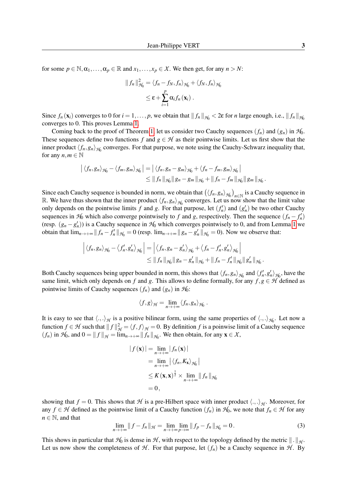for some  $p \in \mathbb{N}, \alpha_1, \ldots, \alpha_p \in \mathbb{R}$  and  $x_1, \ldots, x_p \in \mathcal{X}$ . We then get, for any  $n > N$ :

$$
|| f_n ||_{\mathcal{H}_0}^2 = \langle f_n - f_N, f_n \rangle_{\mathcal{H}_0} + \langle f_N, f_n \rangle_{\mathcal{H}_0}
$$
  

$$
\leq \varepsilon + \sum_{i=1}^p \alpha_i f_n(\mathbf{x}_i) .
$$

Since  $f_n(\mathbf{x}_i)$  converges to 0 for  $i = 1, \ldots, p$ , we obtain that  $||f_n||_{\mathcal{H}_0} < 2\varepsilon$  for *n* large enough, i.e.,  $||f_n||_{\mathcal{H}_0}$ converges to 0. This proves Lemma [1.](#page-1-0)

Coming back to the proof of Theorem [1,](#page-0-0) let us consider two Cauchy sequences  $(f_n)$  and  $(g_n)$  in  $H_0$ . These sequences define two functions *f* and  $g \in H$  as their pointwise limits. Let us first show that the inner product  $\langle f_n, g_n \rangle_{\mathcal{H}_0}$  converges. For that purpose, we note using the Cauchy-Schwarz inequality that, for any  $n, m \in \mathbb{N}$ 

$$
\left| \langle f_n, g_n \rangle_{\mathcal{H}_0} - \langle f_m, g_m \rangle_{\mathcal{H}_0} \right| = \left| \langle f_n, g_n - g_m \rangle_{\mathcal{H}_0} + \langle f_n - f_m, g_m \rangle_{\mathcal{H}_0} \right|
$$
  
\n
$$
\leq \| f_n \|_{\mathcal{H}_0} \| g_n - g_m \|_{\mathcal{H}_0} + \| f_n - f_m \|_{\mathcal{H}_0} \| g_m \|_{\mathcal{H}_0}.
$$

Since each Cauchy sequence is bounded in norm, we obtain that  $(\langle f_n, g_n \rangle_{H_0})_{n \in \mathbb{N}}$  is a Cauchy sequence in R. We have thus shown that the inner product  $\langle f_n, g_n \rangle_{\mathcal{H}_0}$  converges. Let us now show that the limit value only depends on the pointwise limits f and g. For that purpose, let  $(f'_n)$  and  $(g'_n)$  be two other Cauchy sequences in  $H_0$  which also converge pointwisely to *f* and *g*, respectively. Then the sequence  $(f_n - f'_n)$ (resp.  $(g_n - g'_n)$ ) is a Cauchy sequence in  $H_0$  which converges pointwisely to 0, and from Lemma [1](#page-1-0) we obtain that  $\lim_{n\to+\infty}||f_n - f'_n||_{\mathcal{H}_0} = 0$  (resp.  $\lim_{n\to+\infty}||g_n - g'_n||_{\mathcal{H}_0} = 0$ ). Now we observe that:

$$
\left| \langle f_n, g_n \rangle_{\mathcal{H}_0} - \langle f'_n, g'_n \rangle_{\mathcal{H}_0} \right| = \left| \langle f_n, g_n - g'_n \rangle_{\mathcal{H}_0} + \langle f_n - f'_n, g'_n \rangle_{\mathcal{H}_0} \right|
$$
  

$$
\leq \| f_n \|_{\mathcal{H}_0} \| g_n - g'_n \|_{\mathcal{H}_0} + \| f_n - f'_n \|_{\mathcal{H}_0} \| g'_n \|_{\mathcal{H}_0}.
$$

Both Cauchy sequences being upper bounded in norm, this shows that  $\langle f_n, g_n \rangle_{H_0}$  and  $\langle f'_n, g'_n \rangle_{H_0}$ , have the same limit, which only depends on *f* and *g*. This allows to define formally, for any  $f, g \in H$  defined as pointwise limits of Cauchy sequences  $(f_n)$  and  $(g_n)$  in  $H_0$ :

$$
\langle f,g\rangle_{\mathcal{H}}=\lim_{n\to+\infty}\langle f_n,g_n\rangle_{\mathcal{H}_0}.
$$

It is easy to see that  $\langle .,.\rangle_H$  is a positive bilinear form, using the same properties of  $\langle .,.\rangle_{H_0}$ . Let now a function  $f \in \mathcal{H}$  such that  $|| f ||_{\mathcal{H}}^2 = \langle f, f \rangle_{\mathcal{H}} = 0$ . By definition *f* is a poinwise limit of a Cauchy sequence  $(f_n)$  in  $H_0$ , and  $0 = ||f||_H = \lim_{n \to +\infty} ||f_n||_{H_0}$ . We then obtain, for any  $\mathbf{x} \in \mathcal{X}$ ,

$$
|f(\mathbf{x})| = \lim_{n \to +\infty} |f_n(\mathbf{x})|
$$
  
= 
$$
\lim_{n \to +\infty} |\langle f_n, K_{\mathbf{x}} \rangle_{\mathcal{H}_0}|
$$
  

$$
\leq K(\mathbf{x}, \mathbf{x})^{\frac{1}{2}} \times \lim_{n \to +\infty} ||f_n||_{\mathcal{H}_0}
$$
  
= 0,

showing that  $f = 0$ . This shows that  $H$  is a pre-Hilbert space with inner product  $\langle .,.\rangle_H$ . Moreover, for any  $f \in H$  defined as the pointwise limit of a Cauchy function  $(f_n)$  in  $H_0$ , we note that  $f_n \in H$  for any  $n \in \mathbb{N}$ , and that

<span id="page-2-0"></span>
$$
\lim_{n \to +\infty} \|f - f_n\|_{\mathcal{H}} = \lim_{n \to +\infty} \lim_{p \to \infty} \|f_p - f_n\|_{\mathcal{H}_0} = 0.
$$
\n(3)

This shows in particular that  $H_0$  is dense in *H*, with respect to the topology defined by the metric  $\|\cdot\|_{H}$ . Let us now show the completeness of  $H$ . For that purpose, let  $(f_n)$  be a Cauchy sequence in  $H$ . By